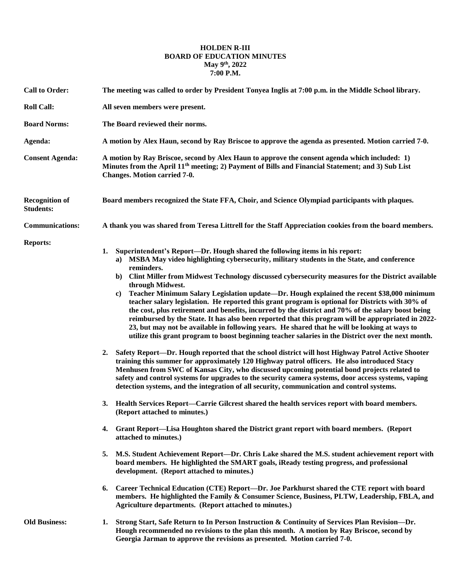## **HOLDEN R-III BOARD OF EDUCATION MINUTES May 9th, 2022 7:00 P.M.**

| <b>Call to Order:</b>                     | The meeting was called to order by President Tonyea Inglis at 7:00 p.m. in the Middle School library.                                                                                                                                                                                                                                                                                                                                                                                                                                                                                                                                                                                                                                                                                                                                                                                                                                                                                                                                                                                                                                                                         |
|-------------------------------------------|-------------------------------------------------------------------------------------------------------------------------------------------------------------------------------------------------------------------------------------------------------------------------------------------------------------------------------------------------------------------------------------------------------------------------------------------------------------------------------------------------------------------------------------------------------------------------------------------------------------------------------------------------------------------------------------------------------------------------------------------------------------------------------------------------------------------------------------------------------------------------------------------------------------------------------------------------------------------------------------------------------------------------------------------------------------------------------------------------------------------------------------------------------------------------------|
| <b>Roll Call:</b>                         | All seven members were present.                                                                                                                                                                                                                                                                                                                                                                                                                                                                                                                                                                                                                                                                                                                                                                                                                                                                                                                                                                                                                                                                                                                                               |
| <b>Board Norms:</b>                       | The Board reviewed their norms.                                                                                                                                                                                                                                                                                                                                                                                                                                                                                                                                                                                                                                                                                                                                                                                                                                                                                                                                                                                                                                                                                                                                               |
| Agenda:                                   | A motion by Alex Haun, second by Ray Briscoe to approve the agenda as presented. Motion carried 7-0.                                                                                                                                                                                                                                                                                                                                                                                                                                                                                                                                                                                                                                                                                                                                                                                                                                                                                                                                                                                                                                                                          |
| <b>Consent Agenda:</b>                    | A motion by Ray Briscoe, second by Alex Haun to approve the consent agenda which included: 1)<br>Minutes from the April 11 <sup>th</sup> meeting; 2) Payment of Bills and Financial Statement; and 3) Sub List<br>Changes. Motion carried 7-0.                                                                                                                                                                                                                                                                                                                                                                                                                                                                                                                                                                                                                                                                                                                                                                                                                                                                                                                                |
| <b>Recognition of</b><br><b>Students:</b> | Board members recognized the State FFA, Choir, and Science Olympiad participants with plaques.                                                                                                                                                                                                                                                                                                                                                                                                                                                                                                                                                                                                                                                                                                                                                                                                                                                                                                                                                                                                                                                                                |
| <b>Communications:</b>                    | A thank you was shared from Teresa Littrell for the Staff Appreciation cookies from the board members.                                                                                                                                                                                                                                                                                                                                                                                                                                                                                                                                                                                                                                                                                                                                                                                                                                                                                                                                                                                                                                                                        |
| <b>Reports:</b>                           | Superintendent's Report—Dr. Hough shared the following items in his report:<br>1.<br>a) MSBA May video highlighting cybersecurity, military students in the State, and conference<br>reminders.<br>Clint Miller from Midwest Technology discussed cybersecurity measures for the District available<br>$\mathbf{b}$<br>through Midwest.<br>Teacher Minimum Salary Legislation update—Dr. Hough explained the recent \$38,000 minimum<br>c)<br>teacher salary legislation. He reported this grant program is optional for Districts with 30% of<br>the cost, plus retirement and benefits, incurred by the district and 70% of the salary boost being<br>reimbursed by the State. It has also been reported that this program will be appropriated in 2022-<br>23, but may not be available in following years. He shared that he will be looking at ways to<br>utilize this grant program to boost beginning teacher salaries in the District over the next month.<br>Safety Report—Dr. Hough reported that the school district will host Highway Patrol Active Shooter<br>2.<br>training this summer for approximately 120 Highway patrol officers. He also introduced Stacy |
|                                           | Menhusen from SWC of Kansas City, who discussed upcoming potential bond projects related to<br>safety and control systems for upgrades to the security camera systems, door access systems, vaping<br>detection systems, and the integration of all security, communication and control systems.<br>Health Services Report—Carrie Gilcrest shared the health services report with board members.<br>3.                                                                                                                                                                                                                                                                                                                                                                                                                                                                                                                                                                                                                                                                                                                                                                        |
|                                           | (Report attached to minutes.)                                                                                                                                                                                                                                                                                                                                                                                                                                                                                                                                                                                                                                                                                                                                                                                                                                                                                                                                                                                                                                                                                                                                                 |
|                                           | Grant Report—Lisa Houghton shared the District grant report with board members. (Report<br>4.<br>attached to minutes.)                                                                                                                                                                                                                                                                                                                                                                                                                                                                                                                                                                                                                                                                                                                                                                                                                                                                                                                                                                                                                                                        |
|                                           | 5.<br>M.S. Student Achievement Report—Dr. Chris Lake shared the M.S. student achievement report with<br>board members. He highlighted the SMART goals, iReady testing progress, and professional<br>development. (Report attached to minutes.)                                                                                                                                                                                                                                                                                                                                                                                                                                                                                                                                                                                                                                                                                                                                                                                                                                                                                                                                |
|                                           | Career Technical Education (CTE) Report—Dr. Joe Parkhurst shared the CTE report with board<br>6.<br>members. He highlighted the Family & Consumer Science, Business, PLTW, Leadership, FBLA, and<br>Agriculture departments. (Report attached to minutes.)                                                                                                                                                                                                                                                                                                                                                                                                                                                                                                                                                                                                                                                                                                                                                                                                                                                                                                                    |
| <b>Old Business:</b>                      | Strong Start, Safe Return to In Person Instruction & Continuity of Services Plan Revision-Dr.<br>1.<br>Hough recommended no revisions to the plan this month. A motion by Ray Briscoe, second by<br>Georgia Jarman to approve the revisions as presented. Motion carried 7-0.                                                                                                                                                                                                                                                                                                                                                                                                                                                                                                                                                                                                                                                                                                                                                                                                                                                                                                 |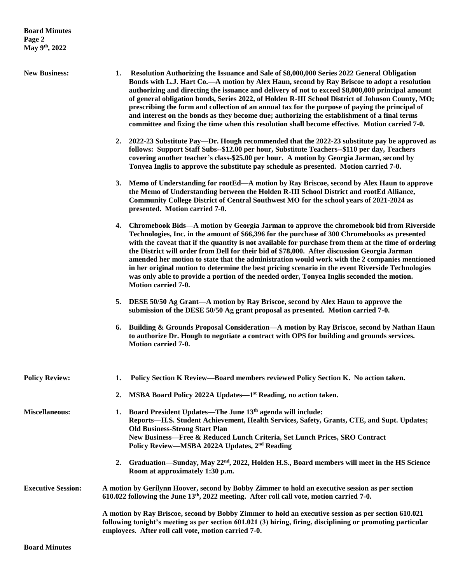- **New Business: 1. Resolution Authorizing the Issuance and Sale of \$8,000,000 Series 2022 General Obligation Bonds with L.J. Hart Co.—A motion by Alex Haun, second by Ray Briscoe to adopt a resolution authorizing and directing the issuance and delivery of not to exceed \$8,000,000 principal amount of general obligation bonds, Series 2022, of Holden R-III School District of Johnson County, MO; prescribing the form and collection of an annual tax for the purpose of paying the principal of and interest on the bonds as they become due; authorizing the establishment of a final terms committee and fixing the time when this resolution shall become effective. Motion carried 7-0.**
	- **2. 2022-23 Substitute Pay—Dr. Hough recommended that the 2022-23 substitute pay be approved as follows: Support Staff Subs--\$12.00 per hour, Substitute Teachers--\$110 per day, Teachers covering another teacher's class-\$25.00 per hour. A motion by Georgia Jarman, second by Tonyea Inglis to approve the substitute pay schedule as presented. Motion carried 7-0.**
	- **3. Memo of Understanding for rootEd—A motion by Ray Briscoe, second by Alex Haun to approve the Memo of Understanding between the Holden R-III School District and rootEd Alliance, Community College District of Central Southwest MO for the school years of 2021-2024 as presented. Motion carried 7-0.**
	- **4. Chromebook Bids—A motion by Georgia Jarman to approve the chromebook bid from Riverside Technologies, Inc. in the amount of \$66,396 for the purchase of 300 Chromebooks as presented with the caveat that if the quantity is not available for purchase from them at the time of ordering the District will order from Dell for their bid of \$78,000. After discussion Georgia Jarman amended her motion to state that the administration would work with the 2 companies mentioned in her original motion to determine the best pricing scenario in the event Riverside Technologies was only able to provide a portion of the needed order, Tonyea Inglis seconded the motion. Motion carried 7-0.**
	- **5. DESE 50/50 Ag Grant—A motion by Ray Briscoe, second by Alex Haun to approve the submission of the DESE 50/50 Ag grant proposal as presented. Motion carried 7-0.**
	- **6. Building & Grounds Proposal Consideration—A motion by Ray Briscoe, second by Nathan Haun to authorize Dr. Hough to negotiate a contract with OPS for building and grounds services. Motion carried 7-0.**

| <b>Policy Review:</b>     | Policy Section K Review—Board members reviewed Policy Section K. No action taken.                                                                                                                                                                                                                                                                        |
|---------------------------|----------------------------------------------------------------------------------------------------------------------------------------------------------------------------------------------------------------------------------------------------------------------------------------------------------------------------------------------------------|
|                           | MSBA Board Policy 2022A Updates—1 <sup>st</sup> Reading, no action taken.<br>2.                                                                                                                                                                                                                                                                          |
| <b>Miscellaneous:</b>     | Board President Updates—The June 13 <sup>th</sup> agenda will include:<br>Reports—H.S. Student Achievement, Health Services, Safety, Grants, CTE, and Supt. Updates;<br><b>Old Business-Strong Start Plan</b><br>New Business-Free & Reduced Lunch Criteria, Set Lunch Prices, SRO Contract<br>Policy Review—MSBA 2022A Updates, 2 <sup>nd</sup> Reading |
|                           | 2. Graduation—Sunday, May 22 <sup>nd</sup> , 2022, Holden H.S., Board members will meet in the HS Science<br>Room at approximately 1:30 p.m.                                                                                                                                                                                                             |
| <b>Executive Session:</b> | A motion by Gerilynn Hoover, second by Bobby Zimmer to hold an executive session as per section<br>610.022 following the June 13 <sup>th</sup> , 2022 meeting. After roll call vote, motion carried 7-0.                                                                                                                                                 |
|                           | A motion by Ray Briscoe, second by Bobby Zimmer to hold an executive session as per section 610.021<br>following tonight's meeting as per section 601.021 (3) hiring, firing, disciplining or promoting particular<br>employees. After roll call vote, motion carried 7-0.                                                                               |